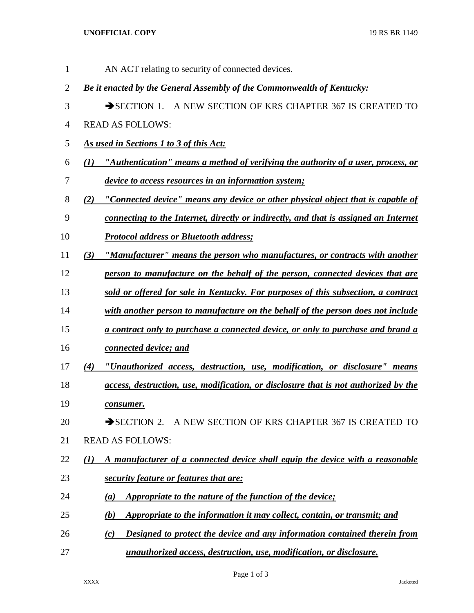| 1              | AN ACT relating to security of connected devices.                                             |
|----------------|-----------------------------------------------------------------------------------------------|
| $\overline{2}$ | Be it enacted by the General Assembly of the Commonwealth of Kentucky:                        |
| 3              | $\rightarrow$ SECTION 1.<br>A NEW SECTION OF KRS CHAPTER 367 IS CREATED TO                    |
| 4              | <b>READ AS FOLLOWS:</b>                                                                       |
| 5              | As used in Sections 1 to 3 of this Act:                                                       |
| 6              | "Authentication" means a method of verifying the authority of a user, process, or<br>(I)      |
| 7              | device to access resources in an information system;                                          |
| 8              | "Connected device" means any device or other physical object that is capable of<br>(2)        |
| 9              | connecting to the Internet, directly or indirectly, and that is assigned an Internet          |
| 10             | <b>Protocol address or Bluetooth address;</b>                                                 |
| 11             | "Manufacturer" means the person who manufactures, or contracts with another<br>(3)            |
| 12             | person to manufacture on the behalf of the person, connected devices that are                 |
| 13             | sold or offered for sale in Kentucky. For purposes of this subsection, a contract             |
| 14             | with another person to manufacture on the behalf of the person does not include               |
| 15             | a contract only to purchase a connected device, or only to purchase and brand a               |
| 16             | connected device; and                                                                         |
| 17             | "Unauthorized access, destruction, use, modification, or disclosure" means<br>(4)             |
| 18             | access, destruction, use, modification, or disclosure that is not authorized by the           |
| 19             | consumer.                                                                                     |
| 20             | $\rightarrow$ SECTION 2.<br>A NEW SECTION OF KRS CHAPTER 367 IS CREATED TO                    |
| 21             | <b>READ AS FOLLOWS:</b>                                                                       |
| 22             | A manufacturer of a connected device shall equip the device with a reasonable<br>$\mathbf{U}$ |
| 23             | security feature or features that are:                                                        |
| 24             | <b>Appropriate to the nature of the function of the device;</b><br>$\left(a\right)$           |
| 25             | Appropriate to the information it may collect, contain, or transmit; and<br>(b)               |
| 26             | Designed to protect the device and any information contained therein from<br>(c)              |
| 27             | unauthorized access, destruction, use, modification, or disclosure.                           |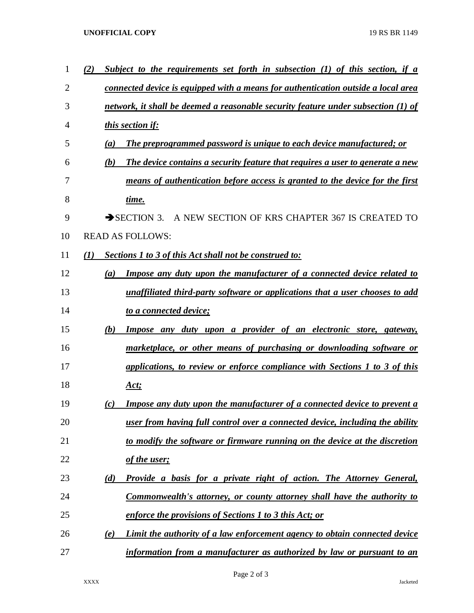## **UNOFFICIAL COPY** 19 RS BR 1149

| 1  | (2) | Subject to the requirements set forth in subsection $(1)$ of this section, if a      |
|----|-----|--------------------------------------------------------------------------------------|
| 2  |     | connected device is equipped with a means for authentication outside a local area    |
| 3  |     | network, it shall be deemed a reasonable security feature under subsection (1) of    |
| 4  |     | this section if:                                                                     |
| 5  |     | The preprogrammed password is unique to each device manufactured; or<br>(a)          |
| 6  |     | The device contains a security feature that requires a user to generate a new<br>(b) |
| 7  |     | means of authentication before access is granted to the device for the first         |
| 8  |     | time.                                                                                |
| 9  |     | $\rightarrow$ SECTION 3.<br>A NEW SECTION OF KRS CHAPTER 367 IS CREATED TO           |
| 10 |     | <b>READ AS FOLLOWS:</b>                                                              |
| 11 | (1) | <b>Sections 1 to 3 of this Act shall not be construed to:</b>                        |
| 12 |     | <b>Impose any duty upon the manufacturer of a connected device related to</b><br>(a) |
| 13 |     | unaffiliated third-party software or applications that a user chooses to add         |
| 14 |     | to a connected device;                                                               |
| 15 |     | <u>Impose any duty upon a provider of an electronic store, gateway,</u><br>(b)       |
| 16 |     | marketplace, or other means of purchasing or downloading software or                 |
| 17 |     | applications, to review or enforce compliance with Sections 1 to 3 of this           |
| 18 |     | Act;                                                                                 |
| 19 |     | Impose any duty upon the manufacturer of a connected device to prevent a<br>(c)      |
| 20 |     | user from having full control over a connected device, including the ability         |
| 21 |     | to modify the software or firmware running on the device at the discretion           |
| 22 |     | of the user;                                                                         |
| 23 |     | Provide a basis for a private right of action. The Attorney General,<br>(d)          |
| 24 |     | Commonwealth's attorney, or county attorney shall have the authority to              |
| 25 |     | enforce the provisions of Sections 1 to 3 this Act; or                               |
| 26 |     | Limit the authority of a law enforcement agency to obtain connected device<br>(e)    |
| 27 |     | information from a manufacturer as authorized by law or pursuant to an               |